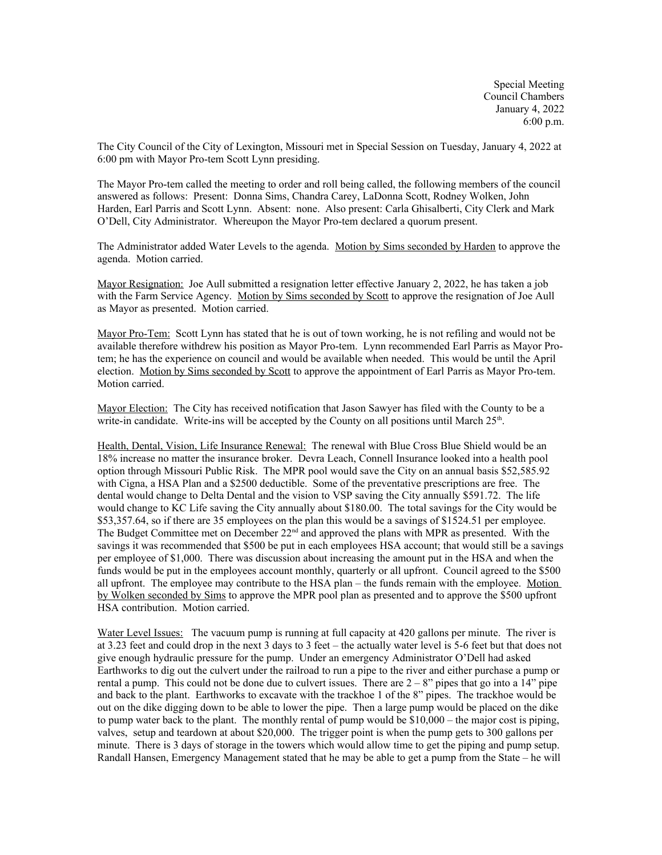Special Meeting Council Chambers January 4, 2022 6:00 p.m.

The City Council of the City of Lexington, Missouri met in Special Session on Tuesday, January 4, 2022 at 6:00 pm with Mayor Pro-tem Scott Lynn presiding.

The Mayor Pro-tem called the meeting to order and roll being called, the following members of the council answered as follows: Present: Donna Sims, Chandra Carey, LaDonna Scott, Rodney Wolken, John Harden, Earl Parris and Scott Lynn. Absent: none. Also present: Carla Ghisalberti, City Clerk and Mark O'Dell, City Administrator. Whereupon the Mayor Pro-tem declared a quorum present.

The Administrator added Water Levels to the agenda. Motion by Sims seconded by Harden to approve the agenda. Motion carried.

Mayor Resignation: Joe Aull submitted a resignation letter effective January 2, 2022, he has taken a job with the Farm Service Agency. Motion by Sims seconded by Scott to approve the resignation of Joe Aull as Mayor as presented. Motion carried.

Mayor Pro-Tem: Scott Lynn has stated that he is out of town working, he is not refiling and would not be available therefore withdrew his position as Mayor Pro-tem. Lynn recommended Earl Parris as Mayor Protem; he has the experience on council and would be available when needed. This would be until the April election. Motion by Sims seconded by Scott to approve the appointment of Earl Parris as Mayor Pro-tem. Motion carried.

Mayor Election: The City has received notification that Jason Sawyer has filed with the County to be a write-in candidate. Write-ins will be accepted by the County on all positions until March  $25<sup>th</sup>$ .

Health, Dental, Vision, Life Insurance Renewal: The renewal with Blue Cross Blue Shield would be an 18% increase no matter the insurance broker. Devra Leach, Connell Insurance looked into a health pool option through Missouri Public Risk. The MPR pool would save the City on an annual basis \$52,585.92 with Cigna, a HSA Plan and a \$2500 deductible. Some of the preventative prescriptions are free. The dental would change to Delta Dental and the vision to VSP saving the City annually \$591.72. The life would change to KC Life saving the City annually about \$180.00. The total savings for the City would be \$53,357.64, so if there are 35 employees on the plan this would be a savings of \$1524.51 per employee. The Budget Committee met on December  $22<sup>nd</sup>$  and approved the plans with MPR as presented. With the savings it was recommended that \$500 be put in each employees HSA account; that would still be a savings per employee of \$1,000. There was discussion about increasing the amount put in the HSA and when the funds would be put in the employees account monthly, quarterly or all upfront. Council agreed to the \$500 all upfront. The employee may contribute to the HSA plan – the funds remain with the employee. Motion by Wolken seconded by Sims to approve the MPR pool plan as presented and to approve the \$500 upfront HSA contribution. Motion carried.

Water Level Issues: The vacuum pump is running at full capacity at 420 gallons per minute. The river is at 3.23 feet and could drop in the next 3 days to 3 feet – the actually water level is 5-6 feet but that does not give enough hydraulic pressure for the pump. Under an emergency Administrator O'Dell had asked Earthworks to dig out the culvert under the railroad to run a pipe to the river and either purchase a pump or rental a pump. This could not be done due to culvert issues. There are  $2 - 8$ " pipes that go into a 14" pipe and back to the plant. Earthworks to excavate with the trackhoe 1 of the 8" pipes. The trackhoe would be out on the dike digging down to be able to lower the pipe. Then a large pump would be placed on the dike to pump water back to the plant. The monthly rental of pump would be  $$10,000$  – the major cost is piping, valves, setup and teardown at about \$20,000. The trigger point is when the pump gets to 300 gallons per minute. There is 3 days of storage in the towers which would allow time to get the piping and pump setup. Randall Hansen, Emergency Management stated that he may be able to get a pump from the State – he will